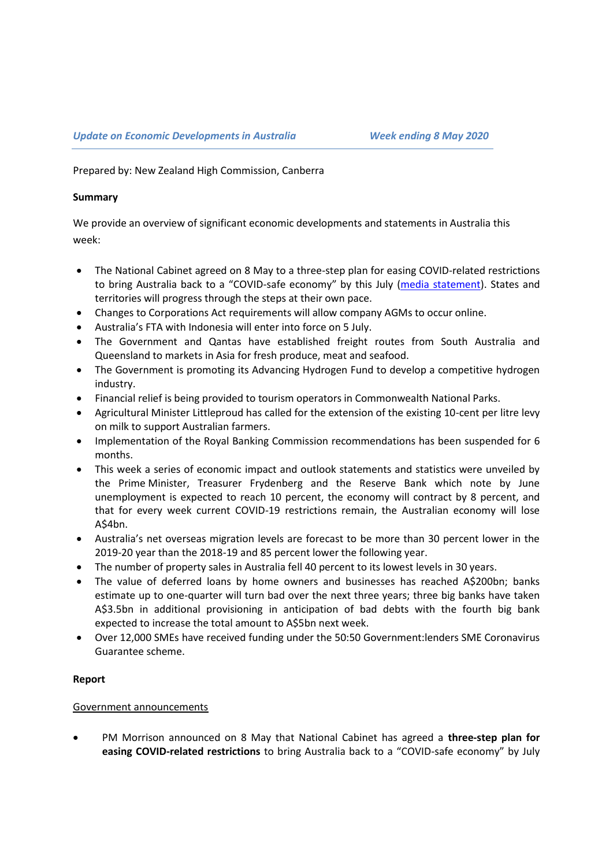Prepared by: New Zealand High Commission, Canberra

### **Summary**

We provide an overview of significant economic developments and statements in Australia this week:

- The National Cabinet agreed on 8 May to a three-step plan for easing COVID-related restrictions to bring Australia back to a "COVID-safe economy" by this July ([media statement\)](https://www.pm.gov.au/media/update-coronavirus-measures-08may20). States and territories will progress through the steps at their own pace.
- Changes to Corporations Act requirements will allow company AGMs to occur online.
- Australia's FTA with Indonesia will enter into force on 5 July.
- The Government and Qantas have established freight routes from South Australia and Queensland to markets in Asia for fresh produce, meat and seafood.
- The Government is promoting its Advancing Hydrogen Fund to develop a competitive hydrogen industry.
- Financial relief is being provided to tourism operators in Commonwealth National Parks.
- Agricultural Minister Littleproud has called for the extension of the existing 10-cent per litre levy on milk to support Australian farmers.
- Implementation of the Royal Banking Commission recommendations has been suspended for 6 months.
- This week a series of economic impact and outlook statements and statistics were unveiled by the Prime Minister, Treasurer Frydenberg and the Reserve Bank which note by June unemployment is expected to reach 10 percent, the economy will contract by 8 percent, and that for every week current COVID-19 restrictions remain, the Australian economy will lose A\$4bn.
- Australia's net overseas migration levels are forecast to be more than 30 percent lower in the 2019-20 year than the 2018-19 and 85 percent lower the following year.
- The number of property sales in Australia fell 40 percent to its lowest levels in 30 years.
- The value of deferred loans by home owners and businesses has reached A\$200bn; banks estimate up to one-quarter will turn bad over the next three years; three big banks have taken A\$3.5bn in additional provisioning in anticipation of bad debts with the fourth big bank expected to increase the total amount to A\$5bn next week.
- Over 12,000 SMEs have received funding under the 50:50 Government:lenders SME Coronavirus Guarantee scheme.

# **Report**

# Government announcements

 PM Morrison announced on 8 May that National Cabinet has agreed a **three-step plan for easing COVID-related restrictions** to bring Australia back to a "COVID-safe economy" by July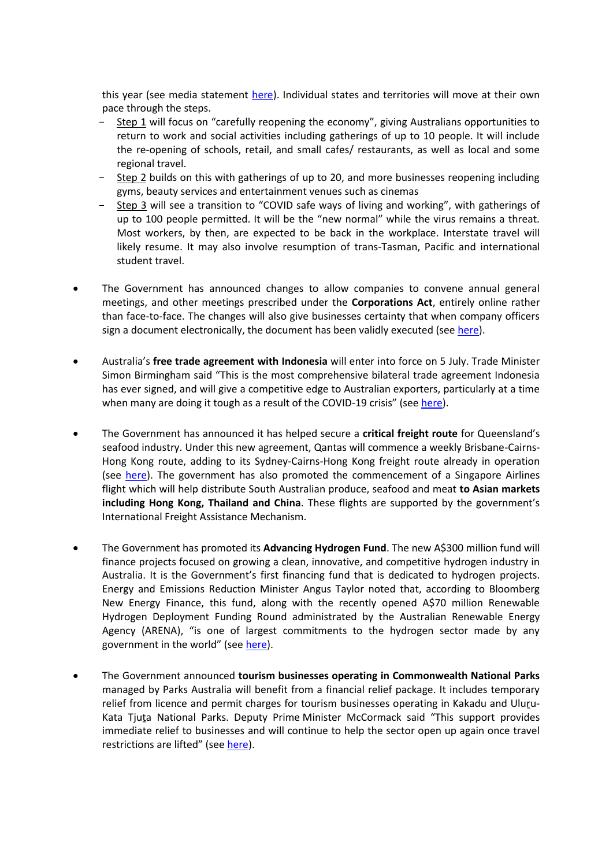this year (see media statement [here\)](https://www.pm.gov.au/media/update-coronavirus-measures-08may20). Individual states and territories will move at their own pace through the steps.

- Step 1 will focus on "carefully reopening the economy", giving Australians opportunities to return to work and social activities including gatherings of up to 10 people. It will include the re-opening of schools, retail, and small cafes/ restaurants, as well as local and some regional travel.
- Step 2 builds on this with gatherings of up to 20, and more businesses reopening including gyms, beauty services and entertainment venues such as cinemas
- Step 3 will see a transition to "COVID safe ways of living and working", with gatherings of up to 100 people permitted. It will be the "new normal" while the virus remains a threat. Most workers, by then, are expected to be back in the workplace. Interstate travel will likely resume. It may also involve resumption of trans-Tasman, Pacific and international student travel.
- The Government has announced changes to allow companies to convene annual general meetings, and other meetings prescribed under the **Corporations Act**, entirely online rather than face-to-face. The changes will also give businesses certainty that when company officers sign a document electronically, the document has been validly executed (se[e here\)](https://ministers.treasury.gov.au/ministers/josh-frydenberg-2018/media-releases/making-it-easier-business-operate-during-covid-19).
- Australia's **free trade agreement with Indonesia** will enter into force on 5 July. Trade Minister Simon Birmingham said "This is the most comprehensive bilateral trade agreement Indonesia has ever signed, and will give a competitive edge to Australian exporters, particularly at a time when many are doing it tough as a result of the COVID-19 crisis" (see [here\)](https://www.trademinister.gov.au/minister/simon-birmingham/media-release/free-trade-deal-indonesia-set-kick-5-july).
- The Government has announced it has helped secure a **critical freight route** for Queensland's seafood industry. Under this new agreement, Qantas will commence a weekly Brisbane-Cairns-Hong Kong route, adding to its Sydney-Cairns-Hong Kong freight route already in operation (see [here\)](https://www.trademinister.gov.au/minister/simon-birmingham/media-release/new-flights-get-seafood-exports-moving-again). The government has also promoted the commencement of a Singapore Airlines flight which will help distribute South Australian produce, seafood and meat **to Asian markets including Hong Kong, Thailand and China**. These flights are supported by the government's International Freight Assistance Mechanism.
- The Government has promoted its **Advancing Hydrogen Fund**. The new A\$300 million fund will finance projects focused on growing a clean, innovative, and competitive hydrogen industry in Australia. It is the Government's first financing fund that is dedicated to hydrogen projects. Energy and Emissions Reduction Minister Angus Taylor noted that, according to Bloomberg New Energy Finance, this fund, along with the recently opened A\$70 million Renewable Hydrogen Deployment Funding Round administrated by the Australian Renewable Energy Agency (ARENA), "is one of largest commitments to the hydrogen sector made by any government in the world" (see [here\)](https://www.minister.industry.gov.au/ministers/taylor/media-releases/backing-australian-hydrogen-industry-grow-jobs-economy-and-exports).
- The Government announced **tourism businesses operating in Commonwealth National Parks** managed by Parks Australia will benefit from a financial relief package. It includes temporary relief from licence and permit charges for tourism businesses operating in Kakadu and Uluru-Kata Tjuṯa National Parks. Deputy Prime Minister McCormack said "This support provides immediate relief to businesses and will continue to help the sector open up again once travel restrictions are lifted" (see [here\)](https://minister.awe.gov.au/ley/media-releases/supporting-tourism-businesses-in-commonwealth-national-parks).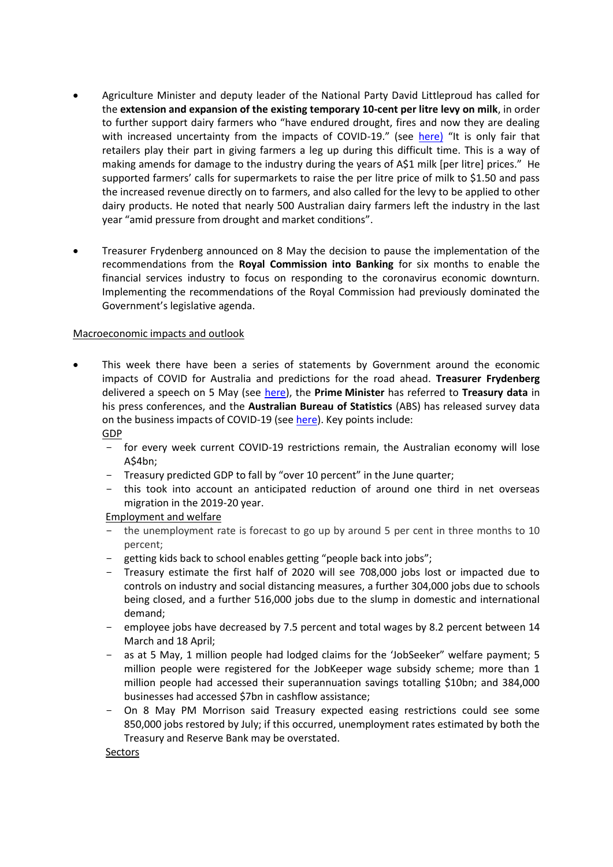- Agriculture Minister and deputy leader of the National Party David Littleproud has called for the **extension and expansion of the existing temporary 10-cent per litre levy on milk**, in order to further support dairy farmers who "have endured drought, fires and now they are dealing with increased uncertainty from the impacts of COVID-19." (see [here\)](https://minister.awe.gov.au/littleproud/media-releases/stop-milking-dairy) "It is only fair that retailers play their part in giving farmers a leg up during this difficult time. This is a way of making amends for damage to the industry during the years of A\$1 milk [per litre] prices." He supported farmers' calls for supermarkets to raise the per litre price of milk to \$1.50 and pass the increased revenue directly on to farmers, and also called for the levy to be applied to other dairy products. He noted that nearly 500 Australian dairy farmers left the industry in the last year "amid pressure from drought and market conditions".
- Treasurer Frydenberg announced on 8 May the decision to pause the implementation of the recommendations from the **Royal Commission into Banking** for six months to enable the financial services industry to focus on responding to the coronavirus economic downturn. Implementing the recommendations of the Royal Commission had previously dominated the Government's legislative agenda.

## Macroeconomic impacts and outlook

- This week there have been a series of statements by Government around the economic impacts of COVID for Australia and predictions for the road ahead. **Treasurer Frydenberg** delivered a speech on 5 May (see [here\)](https://ministers.treasury.gov.au/ministers/josh-frydenberg-2018/speeches/address-national-press-club), the **Prime Minister** has referred to **Treasury data** in his press conferences, and the **Australian Bureau of Statistics** (ABS) has released survey data on the business impacts of COVID-19 (se[e here\)](https://www.abs.gov.au/ausstats/abs@.nsf/mf/5676.0.55.003). Key points include: GDP
	- for every week current COVID-19 restrictions remain, the Australian economy will lose A\$4bn;
	- Treasury predicted GDP to fall by "over 10 percent" in the June quarter;
	- this took into account an anticipated reduction of around one third in net overseas migration in the 2019-20 year.

### Employment and welfare

- the unemployment rate is forecast to go up by around 5 per cent in three months to 10 percent;
- getting kids back to school enables getting "people back into jobs";
- Treasury estimate the first half of 2020 will see 708,000 jobs lost or impacted due to controls on industry and social distancing measures, a further 304,000 jobs due to schools being closed, and a further 516,000 jobs due to the slump in domestic and international demand;
- employee jobs have decreased by 7.5 percent and total wages by 8.2 percent between 14 March and 18 April;
- as at 5 May, 1 million people had lodged claims for the 'JobSeeker" welfare payment; 5 million people were registered for the JobKeeper wage subsidy scheme; more than 1 million people had accessed their superannuation savings totalling \$10bn; and 384,000 businesses had accessed \$7bn in cashflow assistance;
- On 8 May PM Morrison said Treasury expected easing restrictions could see some 850,000 jobs restored by July; if this occurred, unemployment rates estimated by both the Treasury and Reserve Bank may be overstated.

Sectors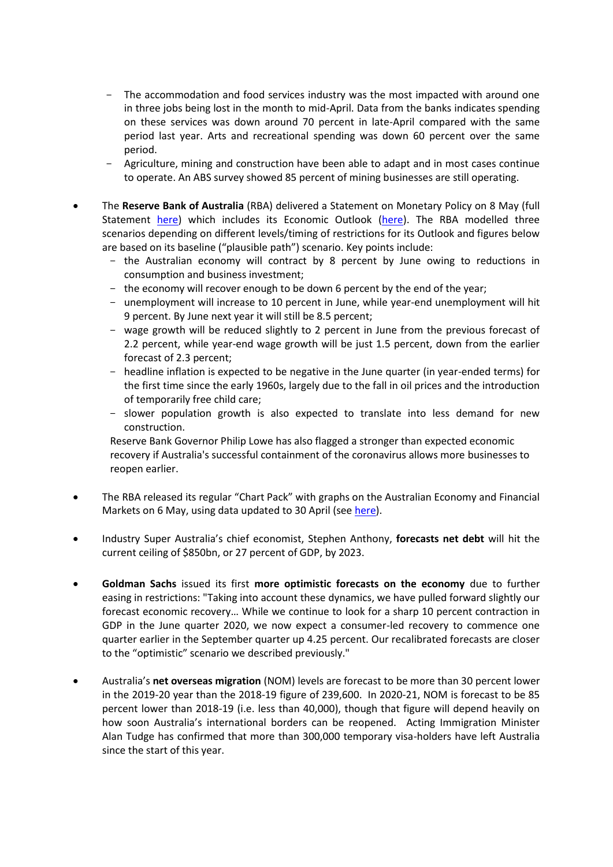- The accommodation and food services industry was the most impacted with around one in three jobs being lost in the month to mid-April. Data from the banks indicates spending on these services was down around 70 percent in late-April compared with the same period last year. Arts and recreational spending was down 60 percent over the same period.
- Agriculture, mining and construction have been able to adapt and in most cases continue to operate. An ABS survey showed 85 percent of mining businesses are still operating.
- The **Reserve Bank of Australia** (RBA) delivered a Statement on Monetary Policy on 8 May (full Statement [here\)](https://www.rba.gov.au/publications/smp/2020/may/) which includes its Economic Outlook [\(here\)](https://www.rba.gov.au/publications/smp/2020/may/economic-outlook.html). The RBA modelled three scenarios depending on different levels/timing of restrictions for its Outlook and figures below are based on its baseline ("plausible path") scenario. Key points include:
	- the Australian economy will contract by 8 percent by June owing to reductions in consumption and business investment;
	- the economy will recover enough to be down 6 percent by the end of the year;
	- unemployment will increase to 10 percent in June, while year-end unemployment will hit 9 percent. By June next year it will still be 8.5 percent;
	- wage growth will be reduced slightly to 2 percent in June from the previous forecast of 2.2 percent, while year-end wage growth will be just 1.5 percent, down from the earlier forecast of 2.3 percent;
	- headline inflation is expected to be negative in the June quarter (in year-ended terms) for the first time since the early 1960s, largely due to the fall in oil prices and the introduction of temporarily free child care;
	- slower population growth is also expected to translate into less demand for new construction.

Reserve Bank Governor Philip Lowe has also flagged a stronger than expected economic recovery if Australia's successful containment of the coronavirus allows more businesses to reopen earlier.

- The RBA released its regular "Chart Pack" with graphs on the Australian Economy and Financial Markets on 6 May, using data updated to 30 April (se[e here\)](https://www.rba.gov.au/chart-pack/).
- Industry Super Australia's chief economist, Stephen Anthony, **forecasts net debt** will hit the current ceiling of \$850bn, or 27 percent of GDP, by 2023.
- **Goldman Sachs** issued its first **more optimistic forecasts on the economy** due to further easing in restrictions: "Taking into account these dynamics, we have pulled forward slightly our forecast economic recovery… While we continue to look for a sharp 10 percent contraction in GDP in the June quarter 2020, we now expect a consumer-led recovery to commence one quarter earlier in the September quarter up 4.25 percent. Our recalibrated forecasts are closer to the "optimistic" scenario we described previously."
- Australia's **net overseas migration** (NOM) levels are forecast to be more than 30 percent lower in the 2019-20 year than the 2018-19 figure of 239,600. In 2020-21, NOM is forecast to be 85 percent lower than 2018-19 (i.e. less than 40,000), though that figure will depend heavily on how soon Australia's international borders can be reopened. Acting Immigration Minister Alan Tudge has confirmed that more than 300,000 temporary visa-holders have left Australia since the start of this year.